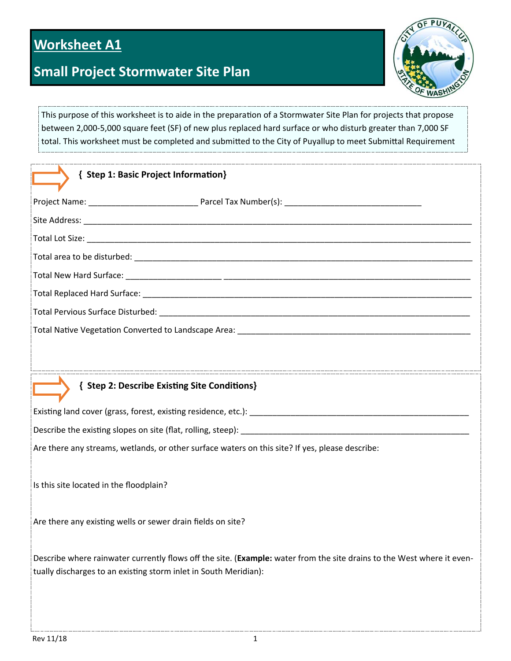# **Worksheet A1**

# **Small Project Stormwater Site Plan**



This purpose of this worksheet is to aide in the preparation of a Stormwater Site Plan for projects that propose between 2,000‐5,000 square feet (SF) of new plus replaced hard surface or who disturb greater than 7,000 SF total. This worksheet must be completed and submitted to the City of Puyallup to meet Submittal Requirement

| { Step 1: Basic Project Information}                                                                                                                                                       |
|--------------------------------------------------------------------------------------------------------------------------------------------------------------------------------------------|
|                                                                                                                                                                                            |
|                                                                                                                                                                                            |
|                                                                                                                                                                                            |
|                                                                                                                                                                                            |
|                                                                                                                                                                                            |
|                                                                                                                                                                                            |
|                                                                                                                                                                                            |
|                                                                                                                                                                                            |
|                                                                                                                                                                                            |
| { Step 2: Describe Existing Site Conditions}                                                                                                                                               |
|                                                                                                                                                                                            |
| Describe the existing slopes on site (flat, rolling, steep): [11] Described the existing slopes on site (flat, rolling, steep):                                                            |
| Are there any streams, wetlands, or other surface waters on this site? If yes, please describe:                                                                                            |
| Is this site located in the floodplain?                                                                                                                                                    |
| Are there any existing wells or sewer drain fields on site?                                                                                                                                |
| Describe where rainwater currently flows off the site. (Example: water from the site drains to the West where it even-<br>tually discharges to an existing storm inlet in South Meridian): |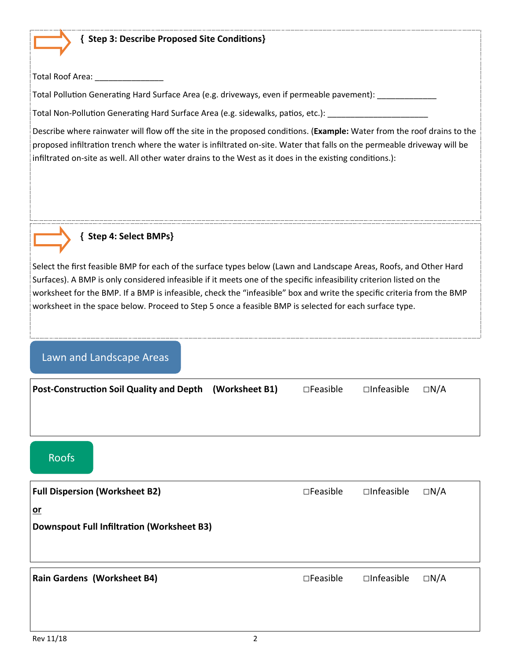#### **{ Step 3: Describe Proposed Site CondiƟons}**

Total Roof Area: \_\_\_\_\_\_\_\_\_\_\_\_\_\_\_\_\_

Total Pollution Generating Hard Surface Area (e.g. driveways, even if permeable pavement): \_\_\_\_\_\_\_\_\_\_\_\_\_\_\_\_\_\_\_

Total Non-Pollution Generating Hard Surface Area (e.g. sidewalks, patios, etc.):

Describe where rainwater will flow off the site in the proposed conditions. (Example: Water from the roof drains to the proposed infiltration trench where the water is infiltrated on-site. Water that falls on the permeable driveway will be infiltrated on-site as well. All other water drains to the West as it does in the existing conditions.):



### **{ Step 4: Select BMPs}**

Select the first feasible BMP for each of the surface types below (Lawn and Landscape Areas, Roofs, and Other Hard Surfaces). A BMP is only considered infeasible if it meets one of the specific infeasibility criterion listed on the worksheet for the BMP. If a BMP is infeasible, check the "infeasible" box and write the specific criteria from the BMP worksheet in the space below. Proceed to Step 5 once a feasible BMP is selected for each surface type.

## Lawn and Landscape Areas

| Post-Construction Soil Quality and Depth (Worksheet B1) | $\square$ Feasible | $\square$ Infeasible | $\Box N/A$ |
|---------------------------------------------------------|--------------------|----------------------|------------|
|                                                         |                    |                      |            |
|                                                         |                    |                      |            |

# Roofs

| <b>Full Dispersion (Worksheet B2)</b>      | $\square$ Feasible | $\Box$ Infeasible | $\Box N/A$ |
|--------------------------------------------|--------------------|-------------------|------------|
| $or$                                       |                    |                   |            |
| Downspout Full Infiltration (Worksheet B3) |                    |                   |            |
|                                            |                    |                   |            |
|                                            |                    |                   |            |
| <b>Rain Gardens (Worksheet B4)</b>         | $\square$ Feasible | $\Box$ Infeasible | $\Box N/A$ |
|                                            |                    |                   |            |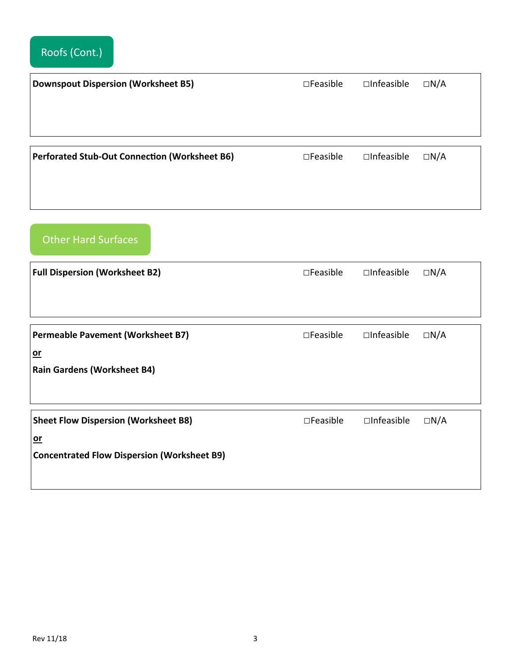| <b>Downspout Dispersion (Worksheet B5)</b>    | $\square$ Feasible | $\Box$ Infeasible | $\Box N/A$ |
|-----------------------------------------------|--------------------|-------------------|------------|
|                                               |                    |                   |            |
|                                               |                    |                   |            |
|                                               |                    |                   |            |
| Perforated Stub-Out Connection (Worksheet B6) | $\square$ Feasible | $\Box$ Infeasible | $\Box N/A$ |
|                                               |                    |                   |            |
|                                               |                    |                   |            |

Other Hard Surfaces

| <b>Full Dispersion (Worksheet B2)</b>                                                                     | $\square$ Feasible | $\Box$ Infeasible | $\Box N/A$ |
|-----------------------------------------------------------------------------------------------------------|--------------------|-------------------|------------|
| <b>Permeable Pavement (Worksheet B7)</b><br>$or$<br><b>Rain Gardens (Worksheet B4)</b>                    | $\square$ Feasible | $\Box$ Infeasible | $\Box N/A$ |
| <b>Sheet Flow Dispersion (Worksheet B8)</b><br>$or$<br><b>Concentrated Flow Dispersion (Worksheet B9)</b> | $\square$ Feasible | $\Box$ Infeasible | $\Box N/A$ |